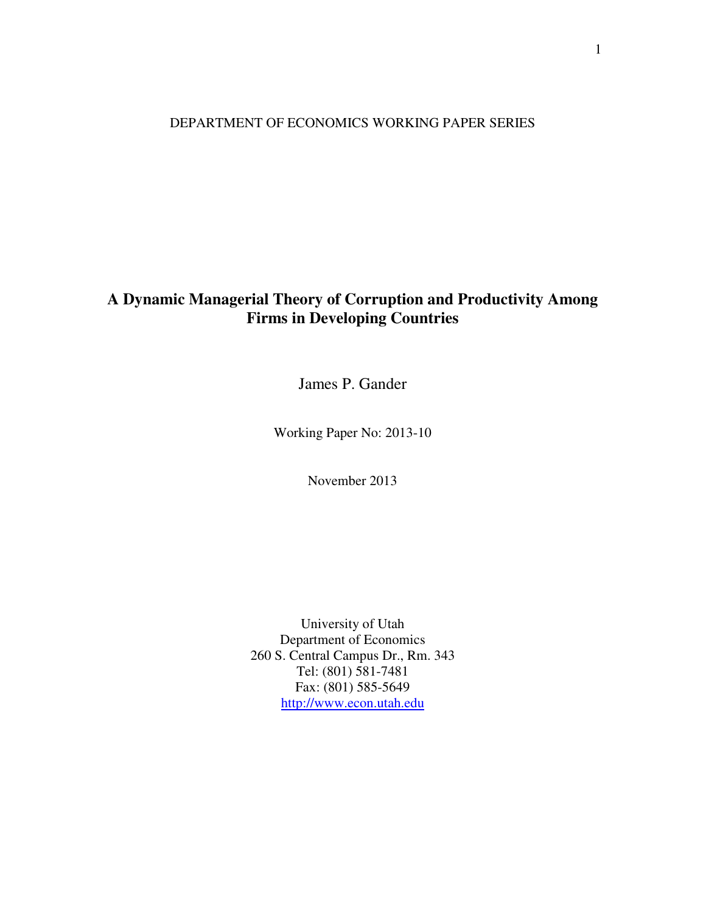DEPARTMENT OF ECONOMICS WORKING PAPER SERIES

# **A Dynamic Managerial Theory of Corruption and Productivity Among Firms in Developing Countries**

James P. Gander

Working Paper No: 2013-10

November 2013

University of Utah Department of Economics 260 S. Central Campus Dr., Rm. 343 Tel: (801) 581-7481 Fax: (801) 585-5649 http://www.econ.utah.edu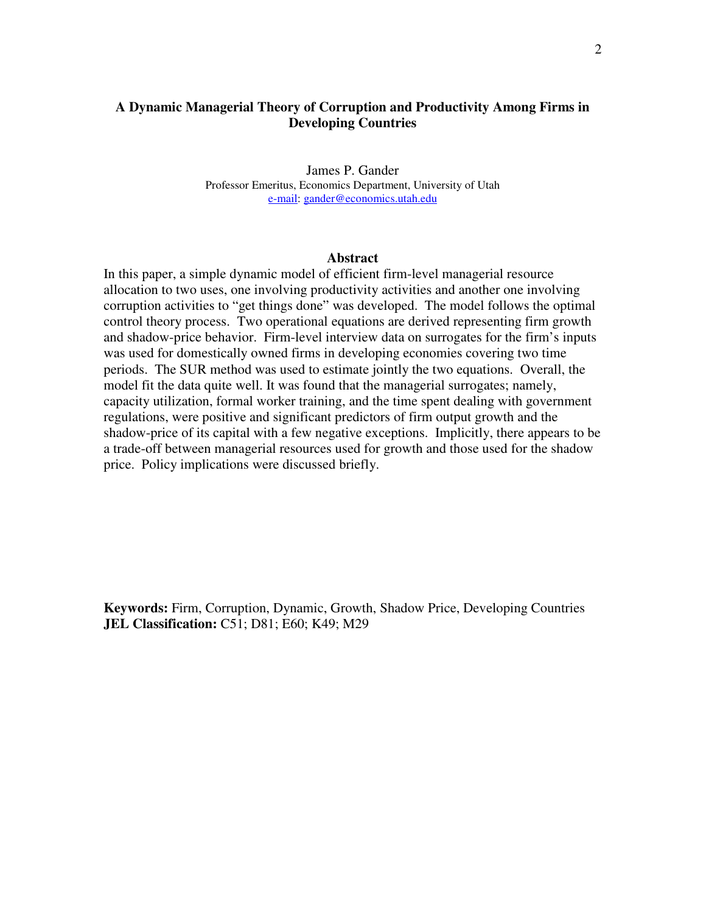# **A Dynamic Managerial Theory of Corruption and Productivity Among Firms in Developing Countries**

James P. Gander Professor Emeritus, Economics Department, University of Utah e-mail: gander@economics.utah.edu

#### **Abstract**

In this paper, a simple dynamic model of efficient firm-level managerial resource allocation to two uses, one involving productivity activities and another one involving corruption activities to "get things done" was developed. The model follows the optimal control theory process. Two operational equations are derived representing firm growth and shadow-price behavior. Firm-level interview data on surrogates for the firm's inputs was used for domestically owned firms in developing economies covering two time periods. The SUR method was used to estimate jointly the two equations. Overall, the model fit the data quite well. It was found that the managerial surrogates; namely, capacity utilization, formal worker training, and the time spent dealing with government regulations, were positive and significant predictors of firm output growth and the shadow-price of its capital with a few negative exceptions. Implicitly, there appears to be a trade-off between managerial resources used for growth and those used for the shadow price. Policy implications were discussed briefly.

**Keywords:** Firm, Corruption, Dynamic, Growth, Shadow Price, Developing Countries **JEL Classification:** C51; D81; E60; K49; M29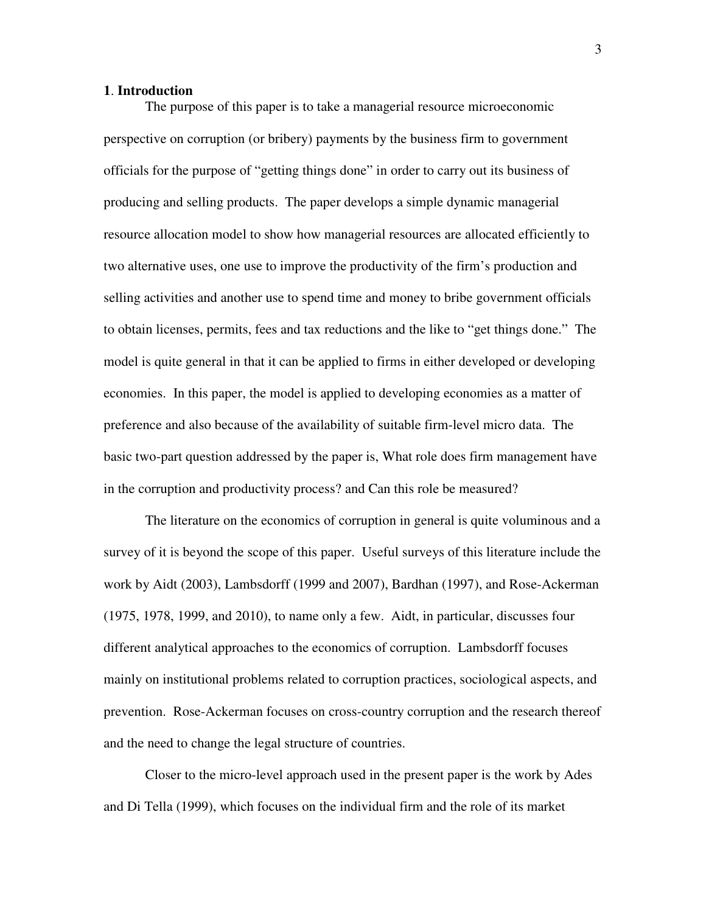# **1**. **Introduction**

 The purpose of this paper is to take a managerial resource microeconomic perspective on corruption (or bribery) payments by the business firm to government officials for the purpose of "getting things done" in order to carry out its business of producing and selling products. The paper develops a simple dynamic managerial resource allocation model to show how managerial resources are allocated efficiently to two alternative uses, one use to improve the productivity of the firm's production and selling activities and another use to spend time and money to bribe government officials to obtain licenses, permits, fees and tax reductions and the like to "get things done." The model is quite general in that it can be applied to firms in either developed or developing economies. In this paper, the model is applied to developing economies as a matter of preference and also because of the availability of suitable firm-level micro data. The basic two-part question addressed by the paper is, What role does firm management have in the corruption and productivity process? and Can this role be measured?

 The literature on the economics of corruption in general is quite voluminous and a survey of it is beyond the scope of this paper. Useful surveys of this literature include the work by Aidt (2003), Lambsdorff (1999 and 2007), Bardhan (1997), and Rose-Ackerman (1975, 1978, 1999, and 2010), to name only a few. Aidt, in particular, discusses four different analytical approaches to the economics of corruption. Lambsdorff focuses mainly on institutional problems related to corruption practices, sociological aspects, and prevention. Rose-Ackerman focuses on cross-country corruption and the research thereof and the need to change the legal structure of countries.

 Closer to the micro-level approach used in the present paper is the work by Ades and Di Tella (1999), which focuses on the individual firm and the role of its market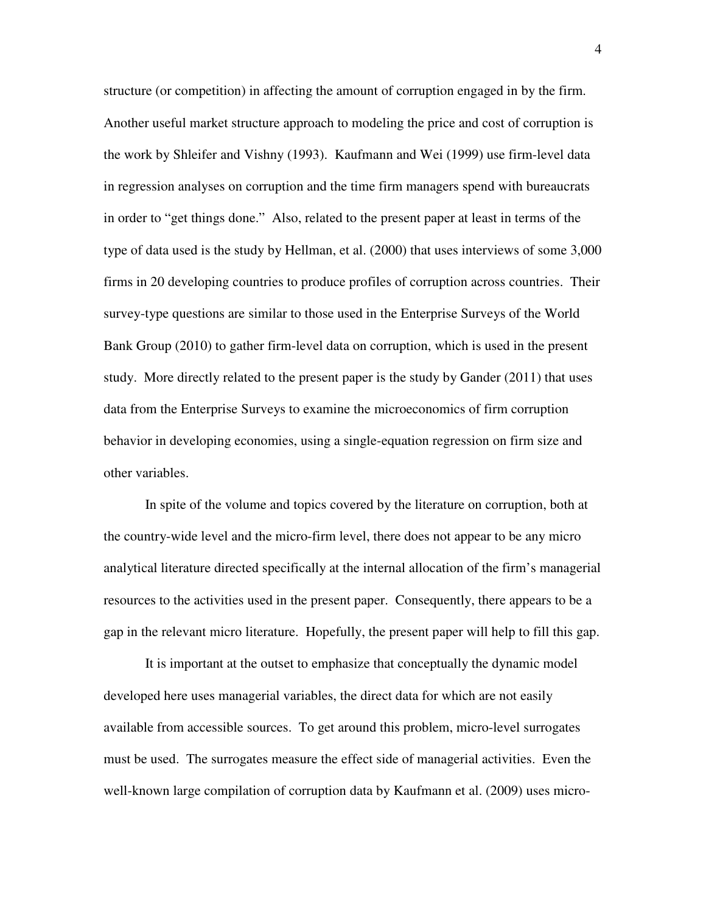structure (or competition) in affecting the amount of corruption engaged in by the firm. Another useful market structure approach to modeling the price and cost of corruption is the work by Shleifer and Vishny (1993). Kaufmann and Wei (1999) use firm-level data in regression analyses on corruption and the time firm managers spend with bureaucrats in order to "get things done." Also, related to the present paper at least in terms of the type of data used is the study by Hellman, et al. (2000) that uses interviews of some 3,000 firms in 20 developing countries to produce profiles of corruption across countries. Their survey-type questions are similar to those used in the Enterprise Surveys of the World Bank Group (2010) to gather firm-level data on corruption, which is used in the present study. More directly related to the present paper is the study by Gander (2011) that uses data from the Enterprise Surveys to examine the microeconomics of firm corruption behavior in developing economies, using a single-equation regression on firm size and other variables.

 In spite of the volume and topics covered by the literature on corruption, both at the country-wide level and the micro-firm level, there does not appear to be any micro analytical literature directed specifically at the internal allocation of the firm's managerial resources to the activities used in the present paper. Consequently, there appears to be a gap in the relevant micro literature. Hopefully, the present paper will help to fill this gap.

 It is important at the outset to emphasize that conceptually the dynamic model developed here uses managerial variables, the direct data for which are not easily available from accessible sources. To get around this problem, micro-level surrogates must be used. The surrogates measure the effect side of managerial activities. Even the well-known large compilation of corruption data by Kaufmann et al. (2009) uses micro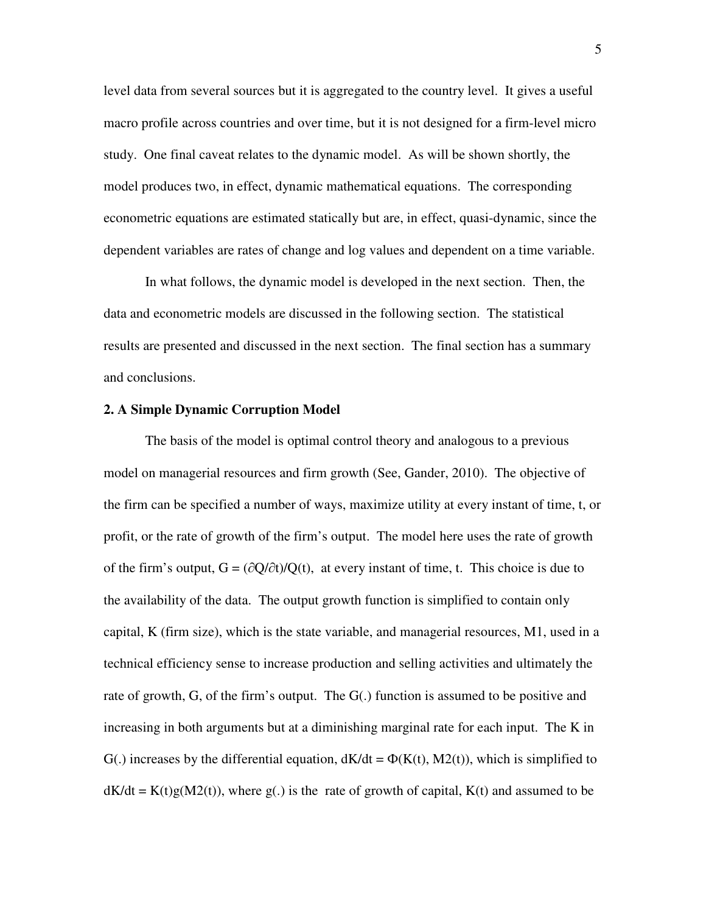level data from several sources but it is aggregated to the country level. It gives a useful macro profile across countries and over time, but it is not designed for a firm-level micro study. One final caveat relates to the dynamic model. As will be shown shortly, the model produces two, in effect, dynamic mathematical equations. The corresponding econometric equations are estimated statically but are, in effect, quasi-dynamic, since the dependent variables are rates of change and log values and dependent on a time variable.

 In what follows, the dynamic model is developed in the next section. Then, the data and econometric models are discussed in the following section. The statistical results are presented and discussed in the next section. The final section has a summary and conclusions.

# **2. A Simple Dynamic Corruption Model**

 The basis of the model is optimal control theory and analogous to a previous model on managerial resources and firm growth (See, Gander, 2010). The objective of the firm can be specified a number of ways, maximize utility at every instant of time, t, or profit, or the rate of growth of the firm's output. The model here uses the rate of growth of the firm's output,  $G = (\partial Q/\partial t)/Q(t)$ , at every instant of time, t. This choice is due to the availability of the data. The output growth function is simplified to contain only capital, K (firm size), which is the state variable, and managerial resources, M1, used in a technical efficiency sense to increase production and selling activities and ultimately the rate of growth, G, of the firm's output. The G(.) function is assumed to be positive and increasing in both arguments but at a diminishing marginal rate for each input. The K in G(.) increases by the differential equation,  $dK/dt = \Phi(K(t), M2(t))$ , which is simplified to  $dK/dt = K(t)g(M2(t))$ , where  $g(.)$  is the rate of growth of capital,  $K(t)$  and assumed to be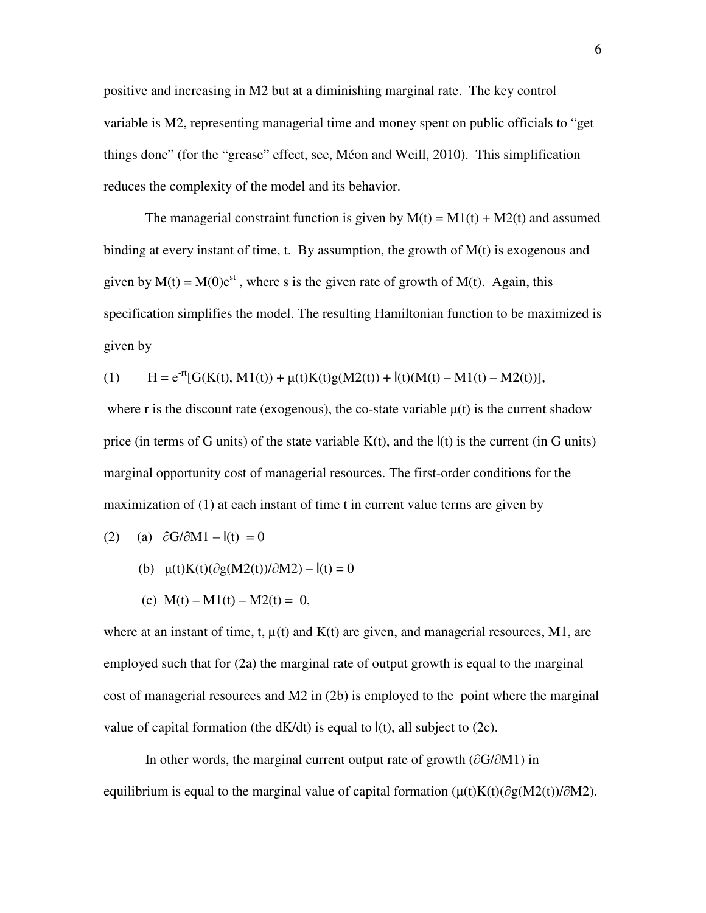positive and increasing in M2 but at a diminishing marginal rate. The key control variable is M2, representing managerial time and money spent on public officials to "get things done" (for the "grease" effect, see, Méon and Weill, 2010). This simplification reduces the complexity of the model and its behavior.

The managerial constraint function is given by  $M(t) = M1(t) + M2(t)$  and assumed binding at every instant of time, t. By assumption, the growth of  $M(t)$  is exogenous and given by  $M(t) = M(0)e^{st}$ , where s is the given rate of growth of  $M(t)$ . Again, this specification simplifies the model. The resulting Hamiltonian function to be maximized is given by

(1) 
$$
H = e^{-rt}[G(K(t), M1(t)) + \mu(t)K(t)g(M2(t)) + l(t)(M(t) - M1(t) - M2(t))],
$$

where r is the discount rate (exogenous), the co-state variable  $\mu(t)$  is the current shadow price (in terms of G units) of the state variable  $K(t)$ , and the  $I(t)$  is the current (in G units) marginal opportunity cost of managerial resources. The first-order conditions for the maximization of (1) at each instant of time t in current value terms are given by

(2) (a) 
$$
\partial G/\partial M1 - I(t) = 0
$$

(b) 
$$
\mu(t)K(t)(\partial g(M2(t))/\partial M2) - I(t) = 0
$$

(c) 
$$
M(t) - M1(t) - M2(t) = 0
$$
,

where at an instant of time, t,  $\mu(t)$  and  $K(t)$  are given, and managerial resources, M1, are employed such that for (2a) the marginal rate of output growth is equal to the marginal cost of managerial resources and M2 in (2b) is employed to the point where the marginal value of capital formation (the  $dK/dt$ ) is equal to  $I(t)$ , all subject to (2c).

In other words, the marginal current output rate of growth (∂G/∂M1) in equilibrium is equal to the marginal value of capital formation ( $\mu(t)K(t)(\partial g(M2(t))/\partial M2)$ .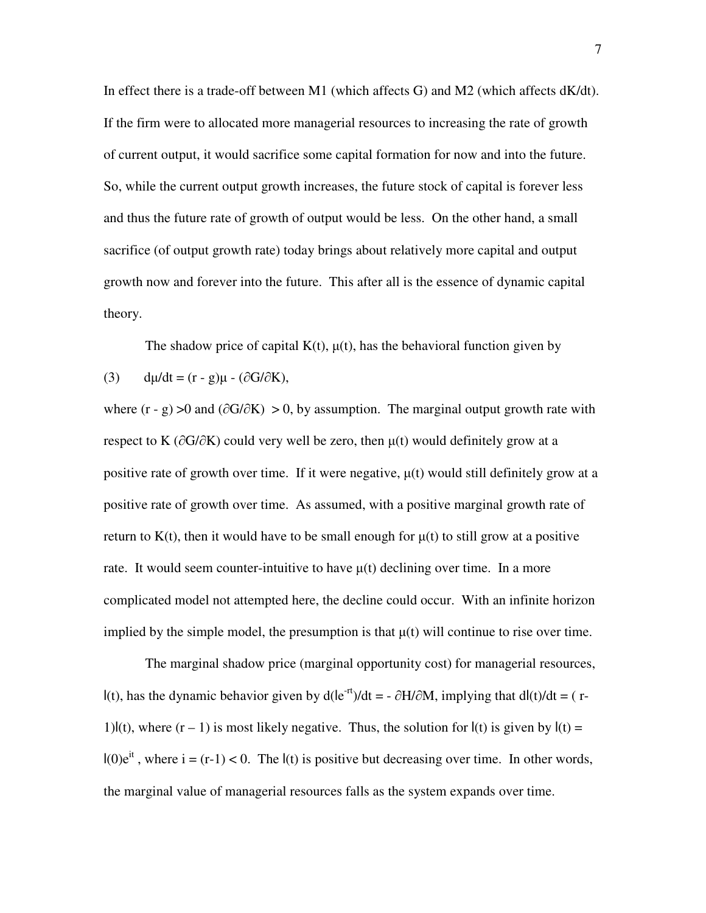In effect there is a trade-off between M1 (which affects G) and M2 (which affects dK/dt). If the firm were to allocated more managerial resources to increasing the rate of growth of current output, it would sacrifice some capital formation for now and into the future. So, while the current output growth increases, the future stock of capital is forever less and thus the future rate of growth of output would be less. On the other hand, a small sacrifice (of output growth rate) today brings about relatively more capital and output growth now and forever into the future. This after all is the essence of dynamic capital theory.

The shadow price of capital  $K(t)$ ,  $\mu(t)$ , has the behavioral function given by

(3) 
$$
d\mu/dt = (r - g)\mu - (\partial G/\partial K),
$$

where  $(r - g) > 0$  and  $(\partial G / \partial K) > 0$ , by assumption. The marginal output growth rate with respect to K (∂G/∂K) could very well be zero, then µ(t) would definitely grow at a positive rate of growth over time. If it were negative,  $\mu(t)$  would still definitely grow at a positive rate of growth over time. As assumed, with a positive marginal growth rate of return to K(t), then it would have to be small enough for  $\mu(t)$  to still grow at a positive rate. It would seem counter-intuitive to have  $\mu(t)$  declining over time. In a more complicated model not attempted here, the decline could occur. With an infinite horizon implied by the simple model, the presumption is that  $\mu(t)$  will continue to rise over time.

 The marginal shadow price (marginal opportunity cost) for managerial resources, l(t), has the dynamic behavior given by  $d(e^{-rt})/dt = -\partial H/\partial M$ , implying that  $dl(t)/dt = (r-t)$ 1)l(t), where  $(r - 1)$  is most likely negative. Thus, the solution for  $I(t)$  is given by  $I(t) =$  $I(0)e^{it}$ , where  $i = (r-1) < 0$ . The  $I(t)$  is positive but decreasing over time. In other words, the marginal value of managerial resources falls as the system expands over time.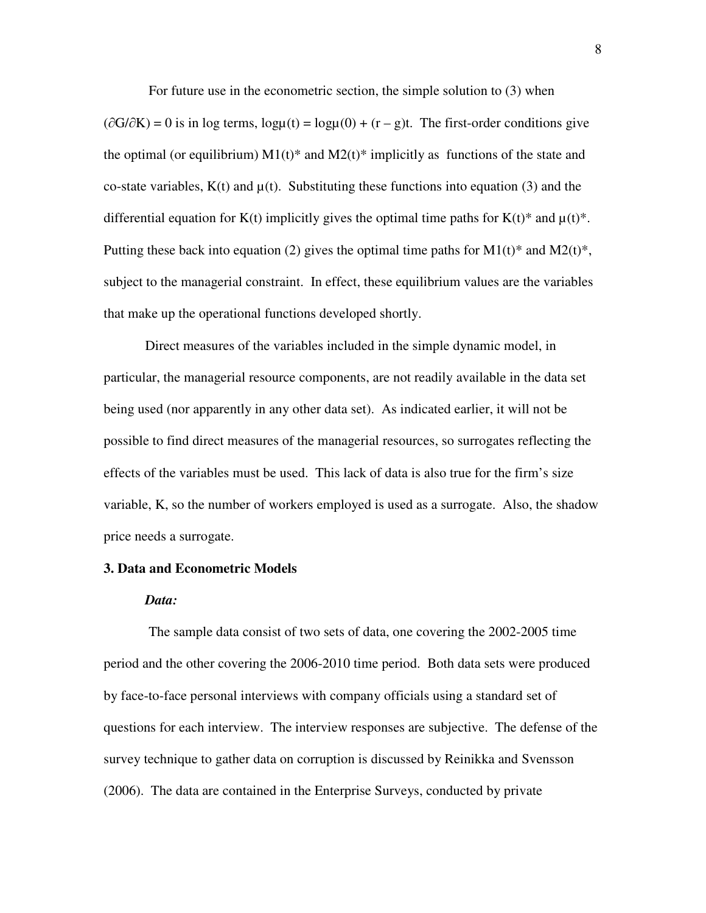For future use in the econometric section, the simple solution to (3) when

 $(\partial G/\partial K) = 0$  is in log terms,  $log\mu(t) = log\mu(0) + (r - g)t$ . The first-order conditions give the optimal (or equilibrium)  $M_1(t)^*$  and  $M_2(t)^*$  implicitly as functions of the state and co-state variables,  $K(t)$  and  $\mu(t)$ . Substituting these functions into equation (3) and the differential equation for K(t) implicitly gives the optimal time paths for K(t)\* and  $\mu$ (t)\*. Putting these back into equation (2) gives the optimal time paths for  $M1(t)^*$  and  $M2(t)^*$ , subject to the managerial constraint. In effect, these equilibrium values are the variables that make up the operational functions developed shortly.

 Direct measures of the variables included in the simple dynamic model, in particular, the managerial resource components, are not readily available in the data set being used (nor apparently in any other data set). As indicated earlier, it will not be possible to find direct measures of the managerial resources, so surrogates reflecting the effects of the variables must be used. This lack of data is also true for the firm's size variable, K, so the number of workers employed is used as a surrogate. Also, the shadow price needs a surrogate.

#### **3. Data and Econometric Models**

#### *Data:*

The sample data consist of two sets of data, one covering the 2002-2005 time period and the other covering the 2006-2010 time period. Both data sets were produced by face-to-face personal interviews with company officials using a standard set of questions for each interview. The interview responses are subjective. The defense of the survey technique to gather data on corruption is discussed by Reinikka and Svensson (2006). The data are contained in the Enterprise Surveys, conducted by private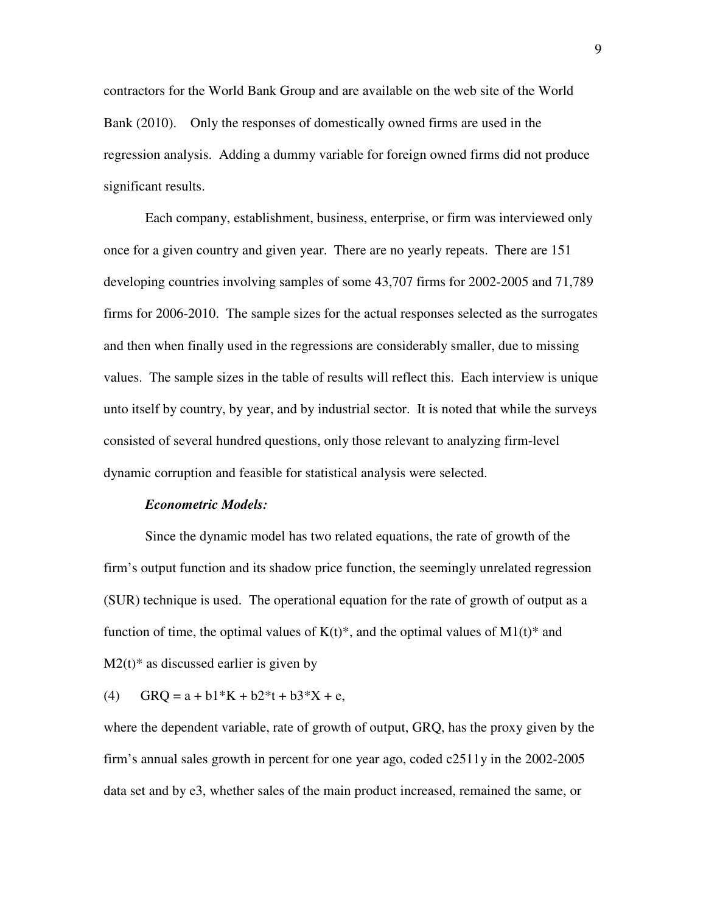contractors for the World Bank Group and are available on the web site of the World Bank (2010). Only the responses of domestically owned firms are used in the regression analysis. Adding a dummy variable for foreign owned firms did not produce significant results.

 Each company, establishment, business, enterprise, or firm was interviewed only once for a given country and given year. There are no yearly repeats. There are 151 developing countries involving samples of some 43,707 firms for 2002-2005 and 71,789 firms for 2006-2010. The sample sizes for the actual responses selected as the surrogates and then when finally used in the regressions are considerably smaller, due to missing values. The sample sizes in the table of results will reflect this. Each interview is unique unto itself by country, by year, and by industrial sector. It is noted that while the surveys consisted of several hundred questions, only those relevant to analyzing firm-level dynamic corruption and feasible for statistical analysis were selected.

# *Econometric Models:*

Since the dynamic model has two related equations, the rate of growth of the firm's output function and its shadow price function, the seemingly unrelated regression (SUR) technique is used. The operational equation for the rate of growth of output as a function of time, the optimal values of  $K(t)^*$ , and the optimal values of  $M1(t)^*$  and  $M2(t)$ <sup>\*</sup> as discussed earlier is given by

(4)  $GRQ = a + b1*K + b2*t + b3*X + e$ 

where the dependent variable, rate of growth of output, GRQ, has the proxy given by the firm's annual sales growth in percent for one year ago, coded c2511y in the 2002-2005 data set and by e3, whether sales of the main product increased, remained the same, or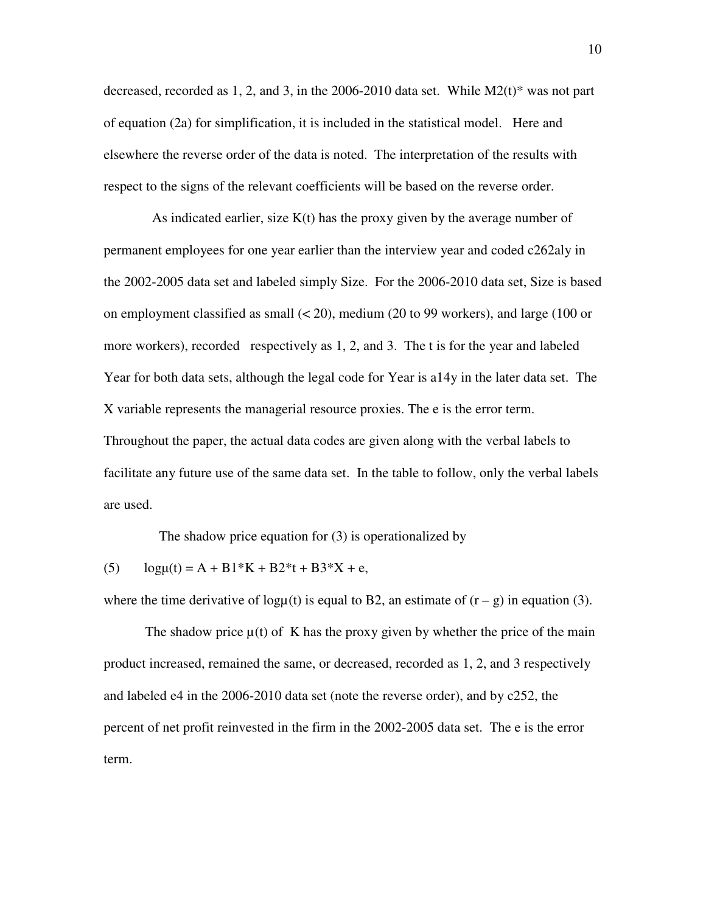decreased, recorded as 1, 2, and 3, in the 2006-2010 data set. While  $M2(t)$ <sup>\*</sup> was not part of equation (2a) for simplification, it is included in the statistical model. Here and elsewhere the reverse order of the data is noted. The interpretation of the results with respect to the signs of the relevant coefficients will be based on the reverse order.

As indicated earlier, size  $K(t)$  has the proxy given by the average number of permanent employees for one year earlier than the interview year and coded c262aly in the 2002-2005 data set and labeled simply Size. For the 2006-2010 data set, Size is based on employment classified as small  $( $20$ ), medium (20 to 99 workers), and large (100 or$ more workers), recorded respectively as 1, 2, and 3. The t is for the year and labeled Year for both data sets, although the legal code for Year is a14y in the later data set. The X variable represents the managerial resource proxies. The e is the error term. Throughout the paper, the actual data codes are given along with the verbal labels to facilitate any future use of the same data set. In the table to follow, only the verbal labels are used.

The shadow price equation for (3) is operationalized by

(5)  $log<sub>µ</sub>(t) = A + B1*K + B2*t + B3*X + e,$ 

where the time derivative of logµ(t) is equal to B2, an estimate of  $(r - g)$  in equation (3).

The shadow price  $\mu(t)$  of K has the proxy given by whether the price of the main product increased, remained the same, or decreased, recorded as 1, 2, and 3 respectively and labeled e4 in the 2006-2010 data set (note the reverse order), and by c252, the percent of net profit reinvested in the firm in the 2002-2005 data set. The e is the error term.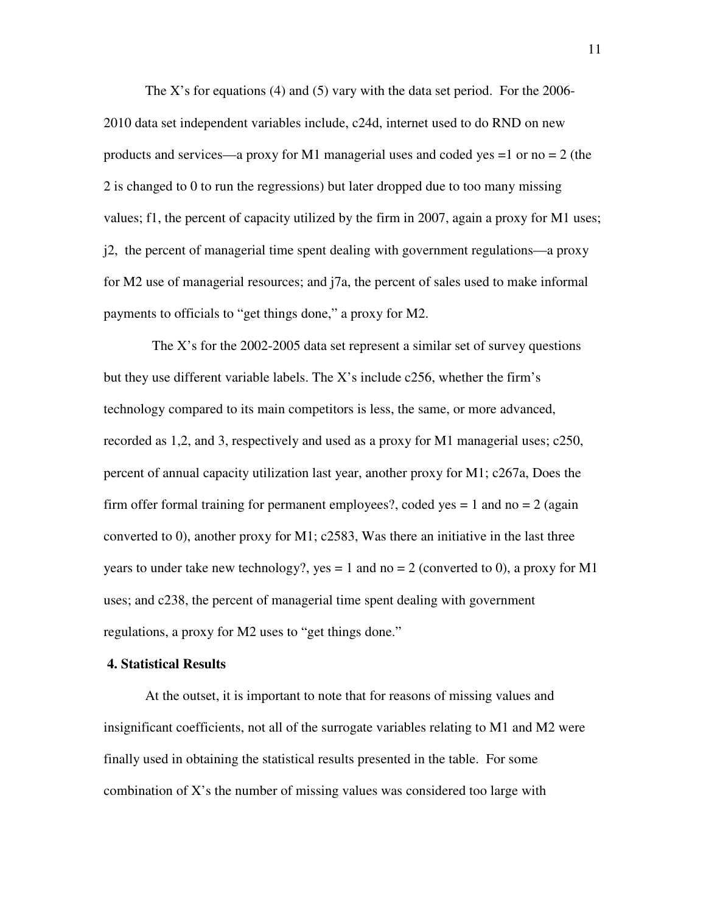The X's for equations (4) and (5) vary with the data set period. For the  $2006$ -2010 data set independent variables include, c24d, internet used to do RND on new products and services—a proxy for M1 managerial uses and coded yes  $=1$  or no  $= 2$  (the 2 is changed to 0 to run the regressions) but later dropped due to too many missing values; f1, the percent of capacity utilized by the firm in 2007, again a proxy for M1 uses; j2, the percent of managerial time spent dealing with government regulations—a proxy for M2 use of managerial resources; and j7a, the percent of sales used to make informal payments to officials to "get things done," a proxy for M2.

 The X's for the 2002-2005 data set represent a similar set of survey questions but they use different variable labels. The X's include c256, whether the firm's technology compared to its main competitors is less, the same, or more advanced, recorded as 1,2, and 3, respectively and used as a proxy for M1 managerial uses; c250, percent of annual capacity utilization last year, another proxy for M1; c267a, Does the firm offer formal training for permanent employees?, coded yes  $= 1$  and no  $= 2$  (again converted to 0), another proxy for M1; c2583, Was there an initiative in the last three years to under take new technology?, yes = 1 and no = 2 (converted to 0), a proxy for M1 uses; and c238, the percent of managerial time spent dealing with government regulations, a proxy for M2 uses to "get things done."

# **4. Statistical Results**

 At the outset, it is important to note that for reasons of missing values and insignificant coefficients, not all of the surrogate variables relating to M1 and M2 were finally used in obtaining the statistical results presented in the table. For some combination of X's the number of missing values was considered too large with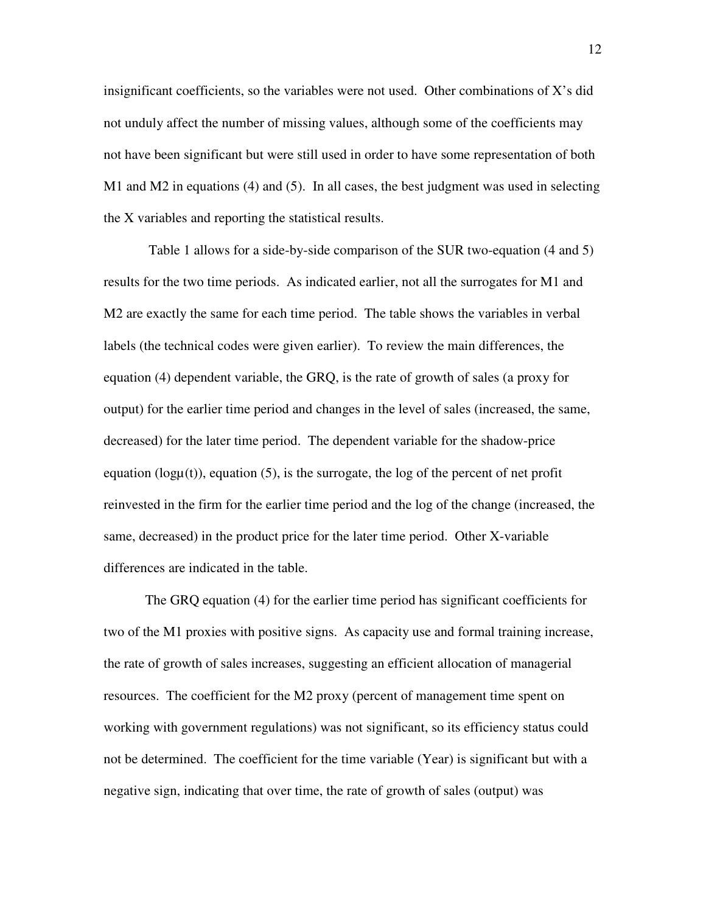insignificant coefficients, so the variables were not used. Other combinations of X's did not unduly affect the number of missing values, although some of the coefficients may not have been significant but were still used in order to have some representation of both M1 and M2 in equations (4) and (5). In all cases, the best judgment was used in selecting the X variables and reporting the statistical results.

 Table 1 allows for a side-by-side comparison of the SUR two-equation (4 and 5) results for the two time periods. As indicated earlier, not all the surrogates for M1 and M2 are exactly the same for each time period. The table shows the variables in verbal labels (the technical codes were given earlier). To review the main differences, the equation (4) dependent variable, the GRQ, is the rate of growth of sales (a proxy for output) for the earlier time period and changes in the level of sales (increased, the same, decreased) for the later time period. The dependent variable for the shadow-price equation ( $log<sub>µ</sub>(t)$ ), equation (5), is the surrogate, the log of the percent of net profit reinvested in the firm for the earlier time period and the log of the change (increased, the same, decreased) in the product price for the later time period. Other X-variable differences are indicated in the table.

 The GRQ equation (4) for the earlier time period has significant coefficients for two of the M1 proxies with positive signs. As capacity use and formal training increase, the rate of growth of sales increases, suggesting an efficient allocation of managerial resources. The coefficient for the M2 proxy (percent of management time spent on working with government regulations) was not significant, so its efficiency status could not be determined. The coefficient for the time variable (Year) is significant but with a negative sign, indicating that over time, the rate of growth of sales (output) was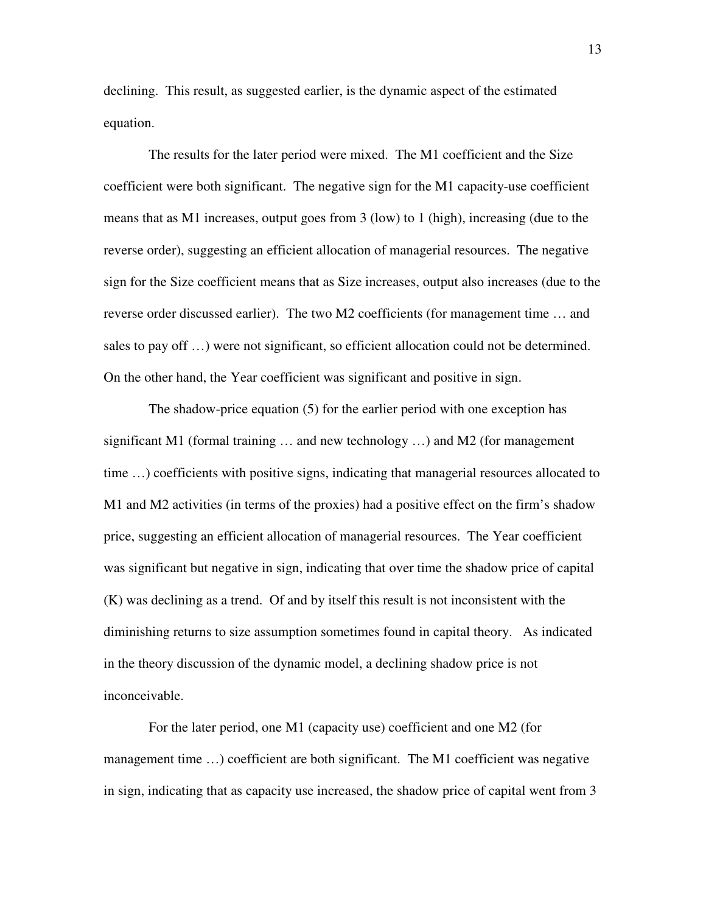declining. This result, as suggested earlier, is the dynamic aspect of the estimated equation.

 The results for the later period were mixed. The M1 coefficient and the Size coefficient were both significant. The negative sign for the M1 capacity-use coefficient means that as M1 increases, output goes from 3 (low) to 1 (high), increasing (due to the reverse order), suggesting an efficient allocation of managerial resources. The negative sign for the Size coefficient means that as Size increases, output also increases (due to the reverse order discussed earlier). The two M2 coefficients (for management time … and sales to pay off …) were not significant, so efficient allocation could not be determined. On the other hand, the Year coefficient was significant and positive in sign.

 The shadow-price equation (5) for the earlier period with one exception has significant M1 (formal training  $\ldots$  and new technology  $\ldots$ ) and M2 (for management time …) coefficients with positive signs, indicating that managerial resources allocated to M1 and M2 activities (in terms of the proxies) had a positive effect on the firm's shadow price, suggesting an efficient allocation of managerial resources. The Year coefficient was significant but negative in sign, indicating that over time the shadow price of capital (K) was declining as a trend. Of and by itself this result is not inconsistent with the diminishing returns to size assumption sometimes found in capital theory. As indicated in the theory discussion of the dynamic model, a declining shadow price is not inconceivable.

 For the later period, one M1 (capacity use) coefficient and one M2 (for management time ...) coefficient are both significant. The M1 coefficient was negative in sign, indicating that as capacity use increased, the shadow price of capital went from 3

13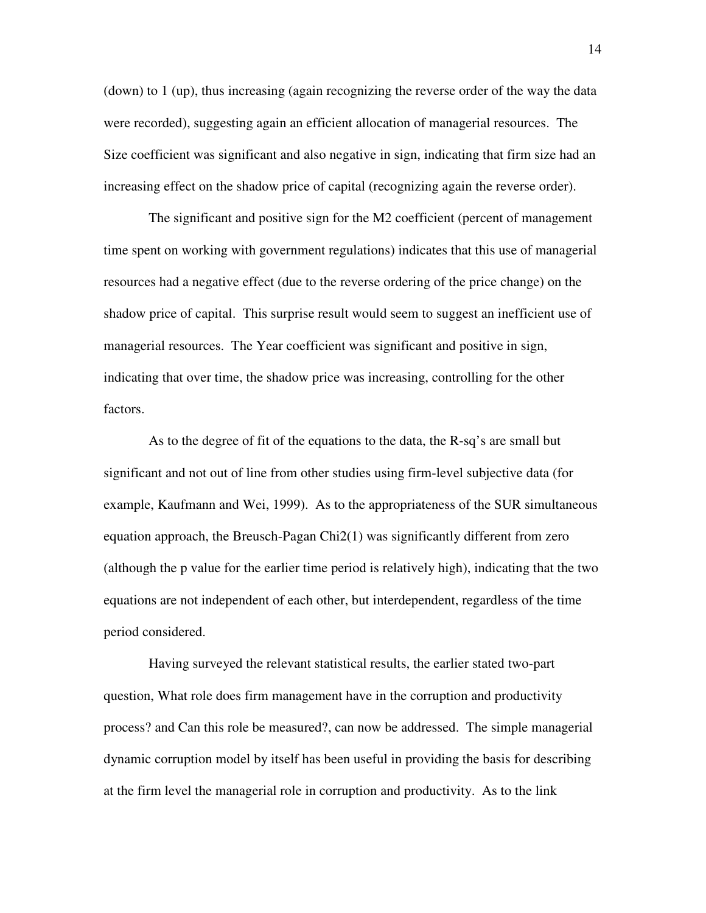(down) to 1 (up), thus increasing (again recognizing the reverse order of the way the data were recorded), suggesting again an efficient allocation of managerial resources. The Size coefficient was significant and also negative in sign, indicating that firm size had an increasing effect on the shadow price of capital (recognizing again the reverse order).

 The significant and positive sign for the M2 coefficient (percent of management time spent on working with government regulations) indicates that this use of managerial resources had a negative effect (due to the reverse ordering of the price change) on the shadow price of capital. This surprise result would seem to suggest an inefficient use of managerial resources. The Year coefficient was significant and positive in sign, indicating that over time, the shadow price was increasing, controlling for the other factors.

 As to the degree of fit of the equations to the data, the R-sq's are small but significant and not out of line from other studies using firm-level subjective data (for example, Kaufmann and Wei, 1999). As to the appropriateness of the SUR simultaneous equation approach, the Breusch-Pagan Chi2(1) was significantly different from zero (although the p value for the earlier time period is relatively high), indicating that the two equations are not independent of each other, but interdependent, regardless of the time period considered.

 Having surveyed the relevant statistical results, the earlier stated two-part question, What role does firm management have in the corruption and productivity process? and Can this role be measured?, can now be addressed. The simple managerial dynamic corruption model by itself has been useful in providing the basis for describing at the firm level the managerial role in corruption and productivity. As to the link

14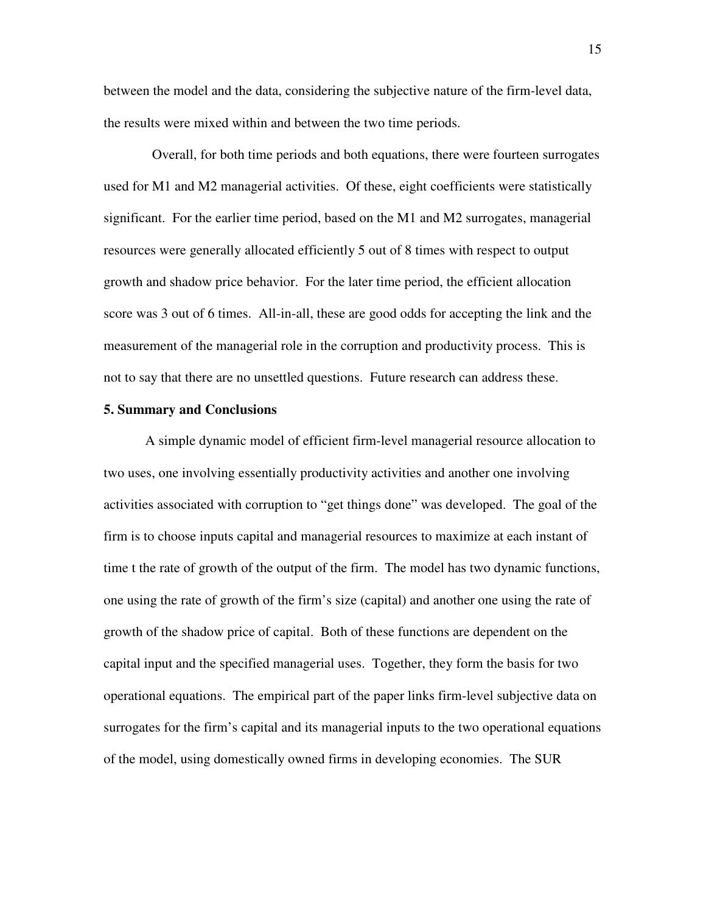between the model and the data, considering the subjective nature of the firm-level data, the results were mixed within and between the two time periods.

 Overall, for both time periods and both equations, there were fourteen surrogates used for M1 and M2 managerial activities. Of these, eight coefficients were statistically significant. For the earlier time period, based on the M1 and M2 surrogates, managerial resources were generally allocated efficiently 5 out of 8 times with respect to output growth and shadow price behavior. For the later time period, the efficient allocation score was 3 out of 6 times. All-in-all, these are good odds for accepting the link and the measurement of the managerial role in the corruption and productivity process. This is not to say that there are no unsettled questions. Future research can address these.

# **5. Summary and Conclusions**

 A simple dynamic model of efficient firm-level managerial resource allocation to two uses, one involving essentially productivity activities and another one involving activities associated with corruption to "get things done" was developed. The goal of the firm is to choose inputs capital and managerial resources to maximize at each instant of time t the rate of growth of the output of the firm. The model has two dynamic functions, one using the rate of growth of the firm's size (capital) and another one using the rate of growth of the shadow price of capital. Both of these functions are dependent on the capital input and the specified managerial uses. Together, they form the basis for two operational equations. The empirical part of the paper links firm-level subjective data on surrogates for the firm's capital and its managerial inputs to the two operational equations of the model, using domestically owned firms in developing economies. The SUR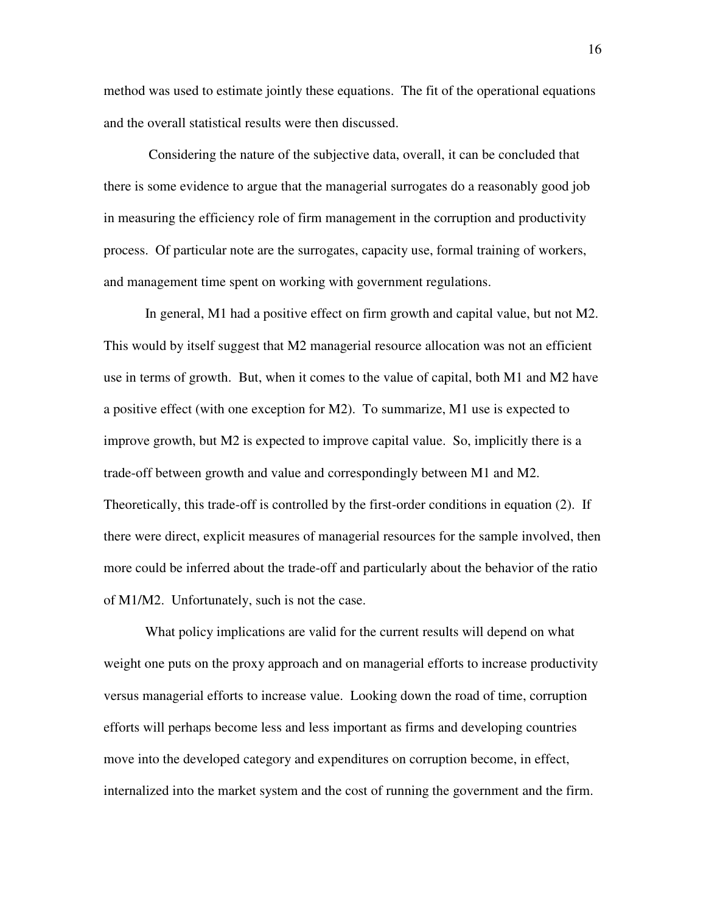method was used to estimate jointly these equations. The fit of the operational equations and the overall statistical results were then discussed.

 Considering the nature of the subjective data, overall, it can be concluded that there is some evidence to argue that the managerial surrogates do a reasonably good job in measuring the efficiency role of firm management in the corruption and productivity process. Of particular note are the surrogates, capacity use, formal training of workers, and management time spent on working with government regulations.

 In general, M1 had a positive effect on firm growth and capital value, but not M2. This would by itself suggest that M2 managerial resource allocation was not an efficient use in terms of growth. But, when it comes to the value of capital, both M1 and M2 have a positive effect (with one exception for M2). To summarize, M1 use is expected to improve growth, but M2 is expected to improve capital value. So, implicitly there is a trade-off between growth and value and correspondingly between M1 and M2. Theoretically, this trade-off is controlled by the first-order conditions in equation (2). If there were direct, explicit measures of managerial resources for the sample involved, then more could be inferred about the trade-off and particularly about the behavior of the ratio of M1/M2. Unfortunately, such is not the case.

 What policy implications are valid for the current results will depend on what weight one puts on the proxy approach and on managerial efforts to increase productivity versus managerial efforts to increase value. Looking down the road of time, corruption efforts will perhaps become less and less important as firms and developing countries move into the developed category and expenditures on corruption become, in effect, internalized into the market system and the cost of running the government and the firm.

16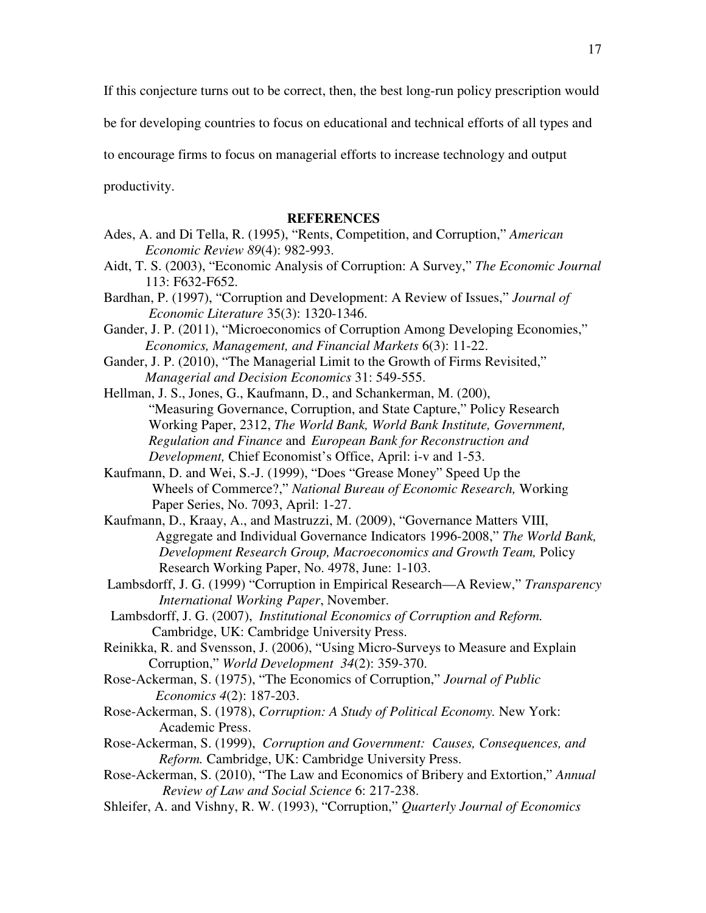If this conjecture turns out to be correct, then, the best long-run policy prescription would

be for developing countries to focus on educational and technical efforts of all types and

to encourage firms to focus on managerial efforts to increase technology and output

productivity.

### **REFERENCES**

- Ades, A. and Di Tella, R. (1995), "Rents, Competition, and Corruption," *American Economic Review 89*(4): 982-993.
- Aidt, T. S. (2003), "Economic Analysis of Corruption: A Survey," *The Economic Journal*  113: F632-F652.
- Bardhan, P. (1997), "Corruption and Development: A Review of Issues," *Journal of Economic Literature* 35(3): 1320-1346.

Gander, J. P. (2011), "Microeconomics of Corruption Among Developing Economies," *Economics, Management, and Financial Markets* 6(3): 11-22.

Gander, J. P. (2010), "The Managerial Limit to the Growth of Firms Revisited," *Managerial and Decision Economics* 31: 549-555.

Hellman, J. S., Jones, G., Kaufmann, D., and Schankerman, M. (200), "Measuring Governance, Corruption, and State Capture," Policy Research Working Paper, 2312, *The World Bank, World Bank Institute, Government, Regulation and Finance* and *European Bank for Reconstruction and Development,* Chief Economist's Office, April: i-v and 1-53.

- Kaufmann, D. and Wei, S.-J. (1999), "Does "Grease Money" Speed Up the Wheels of Commerce?," *National Bureau of Economic Research,* Working Paper Series, No. 7093, April: 1-27.
- Kaufmann, D., Kraay, A., and Mastruzzi, M. (2009), "Governance Matters VIII, Aggregate and Individual Governance Indicators 1996-2008," *The World Bank, Development Research Group, Macroeconomics and Growth Team,* Policy Research Working Paper, No. 4978, June: 1-103.
- Lambsdorff, J. G. (1999) "Corruption in Empirical Research—A Review," *Transparency International Working Paper*, November.
- Lambsdorff, J. G. (2007), *Institutional Economics of Corruption and Reform.*  Cambridge, UK: Cambridge University Press.
- Reinikka, R. and Svensson, J. (2006), "Using Micro-Surveys to Measure and Explain Corruption," *World Development 34*(2): 359-370.
- Rose-Ackerman, S. (1975), "The Economics of Corruption," *Journal of Public Economics 4*(2): 187-203.
- Rose-Ackerman, S. (1978), *Corruption: A Study of Political Economy.* New York: Academic Press.
- Rose-Ackerman, S. (1999), *Corruption and Government: Causes, Consequences, and Reform.* Cambridge, UK: Cambridge University Press.
- Rose-Ackerman, S. (2010), "The Law and Economics of Bribery and Extortion," *Annual Review of Law and Social Science* 6: 217-238.
- Shleifer, A. and Vishny, R. W. (1993), "Corruption," *Quarterly Journal of Economics*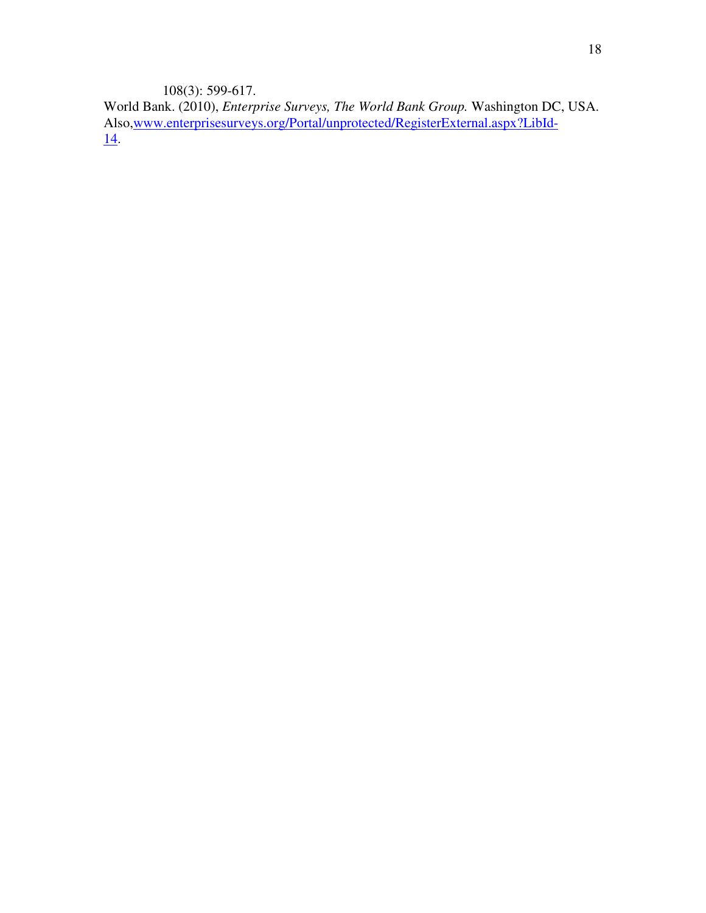108(3): 599-617.

World Bank. (2010), *Enterprise Surveys, The World Bank Group.* Washington DC, USA. Also,www.enterprisesurveys.org/Portal/unprotected/RegisterExternal.aspx?LibId-14.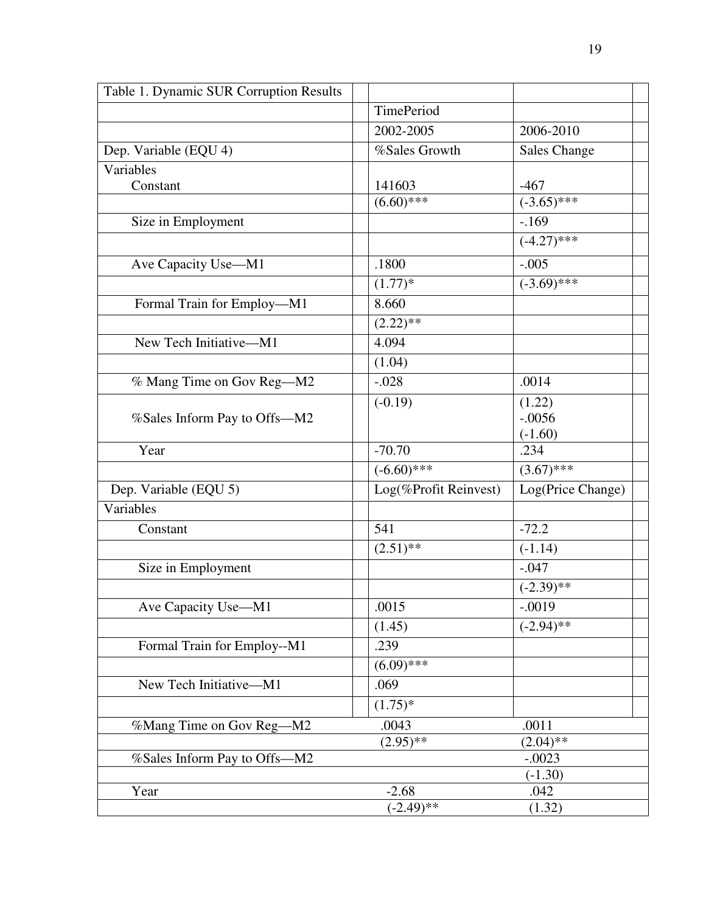| Table 1. Dynamic SUR Corruption Results |                       |                                        |  |
|-----------------------------------------|-----------------------|----------------------------------------|--|
|                                         | TimePeriod            |                                        |  |
|                                         | 2002-2005             | 2006-2010                              |  |
| Dep. Variable (EQU 4)                   | %Sales Growth         | <b>Sales Change</b>                    |  |
| Variables                               |                       |                                        |  |
| Constant                                | 141603                | $-467$                                 |  |
|                                         | $(6.60)$ ***          | $(-3.65)$ ***                          |  |
| Size in Employment                      |                       | $-169$                                 |  |
|                                         |                       | $(-4.27)$ ***                          |  |
| Ave Capacity Use-M1                     | .1800                 | $-.005$                                |  |
|                                         | $(1.77)*$             | $(-3.69)$ ***                          |  |
| Formal Train for Employ-M1              | 8.660                 |                                        |  |
|                                         | $(2.22)$ **           |                                        |  |
| New Tech Initiative-M1                  | 4.094                 |                                        |  |
|                                         | (1.04)                |                                        |  |
| % Mang Time on Gov Reg-M2               | $-.028$               | .0014                                  |  |
|                                         | $(-0.19)$             | (1.22)                                 |  |
| %Sales Inform Pay to Offs-M2            |                       | $-.0056$                               |  |
|                                         |                       | $(-1.60)$                              |  |
| Year                                    | $-70.70$              | .234                                   |  |
|                                         | $(-6.60)$ ***         | $(3.67)$ ***                           |  |
| Dep. Variable (EQU 5)                   | Log(%Profit Reinvest) | $\overline{\text{Log}}$ (Price Change) |  |
| Variables                               |                       |                                        |  |
| Constant                                | 541                   | $-72.2$                                |  |
|                                         | $(2.51)$ **           | $(-1.14)$                              |  |
| Size in Employment                      |                       | $-.047$                                |  |
|                                         |                       | $(-2.39)$ **                           |  |
| Ave Capacity Use-M1                     | .0015                 | $-.0019$                               |  |
|                                         | (1.45)                | $(-2.94)$ **                           |  |
| Formal Train for Employ--M1             | .239                  |                                        |  |
|                                         | $(6.09)$ ***          |                                        |  |
| New Tech Initiative-M1                  | .069                  |                                        |  |
|                                         | $(1.75)^*$            |                                        |  |
| %Mang Time on Gov Reg-M2                | .0043                 | .0011                                  |  |
|                                         | $(2.95)$ **           | $(2.04)$ **                            |  |
| %Sales Inform Pay to Offs-M2            |                       | $-.0023$                               |  |
|                                         |                       | $(-1.30)$                              |  |
| Year                                    | $-2.68$               | .042                                   |  |
|                                         | $(-2.49)$ **          | (1.32)                                 |  |